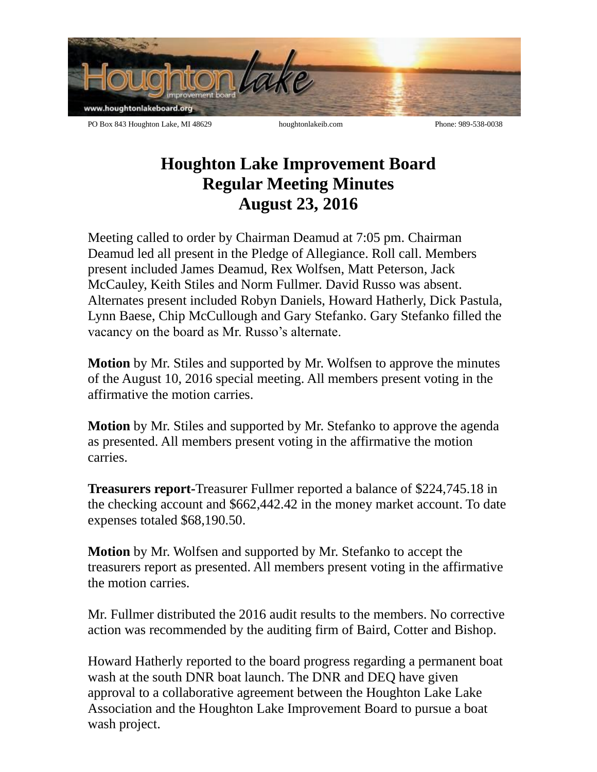

## **Houghton Lake Improvement Board Regular Meeting Minutes August 23, 2016**

Meeting called to order by Chairman Deamud at 7:05 pm. Chairman Deamud led all present in the Pledge of Allegiance. Roll call. Members present included James Deamud, Rex Wolfsen, Matt Peterson, Jack McCauley, Keith Stiles and Norm Fullmer. David Russo was absent. Alternates present included Robyn Daniels, Howard Hatherly, Dick Pastula, Lynn Baese, Chip McCullough and Gary Stefanko. Gary Stefanko filled the vacancy on the board as Mr. Russo's alternate.

**Motion** by Mr. Stiles and supported by Mr. Wolfsen to approve the minutes of the August 10, 2016 special meeting. All members present voting in the affirmative the motion carries.

**Motion** by Mr. Stiles and supported by Mr. Stefanko to approve the agenda as presented. All members present voting in the affirmative the motion carries.

**Treasurers report-**Treasurer Fullmer reported a balance of \$224,745.18 in the checking account and \$662,442.42 in the money market account. To date expenses totaled \$68,190.50.

**Motion** by Mr. Wolfsen and supported by Mr. Stefanko to accept the treasurers report as presented. All members present voting in the affirmative the motion carries.

Mr. Fullmer distributed the 2016 audit results to the members. No corrective action was recommended by the auditing firm of Baird, Cotter and Bishop.

Howard Hatherly reported to the board progress regarding a permanent boat wash at the south DNR boat launch. The DNR and DEQ have given approval to a collaborative agreement between the Houghton Lake Lake Association and the Houghton Lake Improvement Board to pursue a boat wash project.